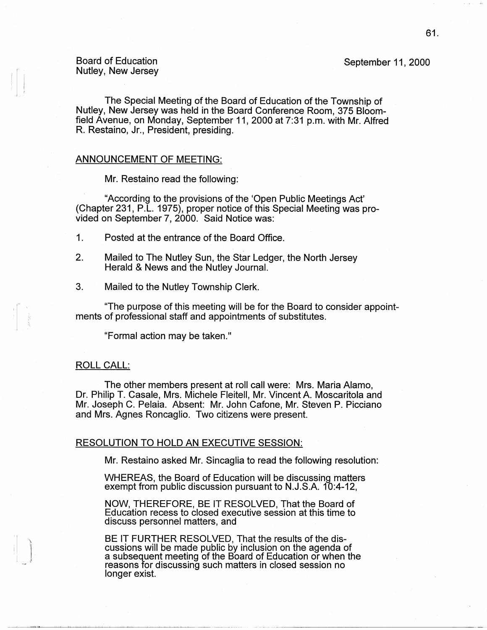### September 11, 2000

## Board of Education Nutley, New Jersey

The Special Meeting of the Board of Education of the Township of Nutley, New Jersey was held in the Board Conference Room, 375 Bloomfield Avenue, on Monday, September 11, 2000 at 7:31 p.m. with Mr. Alfred R. Restaino, Jr., President, presiding.

# **ANNOUNCEMENT** OF MEETING:

Mr. Restaino read the following:

"According to the provisions of the 'Open Public Meetings Act' (Chapter 231, P.L. 1975), proper notice of this Special Meeting was provided on September 7, 2000. Said Notice was:

- 1. Posted at the entrance of the Board Office.
- 2. Mailed to The Nutley Sun, the Star Ledger, the North Jersey Herald & News and the Nutley Journal.
- 3. Mailed to the Nutley Township Clerk.

"The purpose of this meeting will be for the Board to consider appointments of professional staff and appointments of substitutes.

"Formal action may be taken."

### ROLL CALL:

The other members present at roll call were: Mrs. Maria Alamo, Dr. Philip T. Casale, Mrs. Michele Fleitell, Mr. Vincent A. Moscaritola and Mr. Joseph C. Pelaia. Absent: Mr. John Catone, Mr. Steven P. Picciano and Mrs. Agnes Roncaglio. Two citizens were present.

#### RESOLUTION TO HOLD AN EXECUTIVE SESSION:

Mr. Restaino asked Mr. Sincaglia to read the following resolution:

WHEREAS, the Board of Education will be discussing matters exempt from public discussion pursuant to N.J.S.A. 10:4-12,

NOW, THEREFORE, BE IT RESOLVED, That the Board of Education recess to closed executive session at this time to discuss personnel matters, and

BE IT FURTHER RESOLVED, That the results of the discussions will be made public by inclusion on the agenda of a subsequent meeting of the Board of Education or when the reasons for discussing such matters in closed session no longer exist.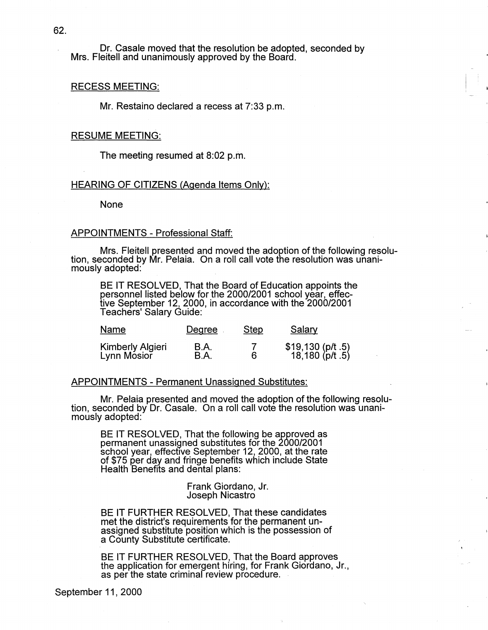Dr. Casale moved that the resolution be adopted, seconded by Mrs. Fleitell and unanimously approved by the Board.

#### RECESS MEETING:

Mr. Restaino declared a recess at 7:33 p.m.

### RESUME MEETING:

The meeting resumed at 8:02 p.m.

### HEARING OF CITIZENS (Agenda Items Only):

None

#### APPOINTMENTS - Professional Staff:

Mrs. Fleitell presented and moved the adoption of the following resolution, seconded by Mr. Pelaia. On a roll call vote the resolution was unanimously adopted: .

BE IT RESOLVED, That the Board of Education appoints the personnel listed below for the 2000/2001 school year, effective September 12, 2000, in accordance with the 2000/2001 Teachers' Salary Guide:

| Name                            | Degree       | <b>Step</b> | Salary                               |
|---------------------------------|--------------|-------------|--------------------------------------|
| Kimberly Algieri<br>Lynn Mosior | B.A.<br>B.A. |             | \$19,130 (p/t .5)<br>18,180 (p/t .5) |

#### APPOINTMENTS - Permanent Unassigned Substitutes:

Mr. Pelaia presented and moved the adoption of the following resolu- tion, seconded by Dr. Casale. On a roll call vote the resolution was unanimously adopted:

BE IT RESOLVED, That the following be approved as permanent unassigned substitutes for the 2000/2001 school year, effective September 12, 2000, at the rate of \$75 per day and fringe benefits which include State Health Benefits and dental plans:

> Frank Giordano, Jr. Joseph Nicastro

BE IT FURTHER RESOLVED, That these candidates met the district's requirements for the permanent unassigned substitute position which is the possession of a County Substitute certificate.

BE IT FURTHER RESOLVED, That the Board approves the application for emergent hiring, for Frank Giordano, Jr., as per the state criminal review procedure.

September 11 , 2000